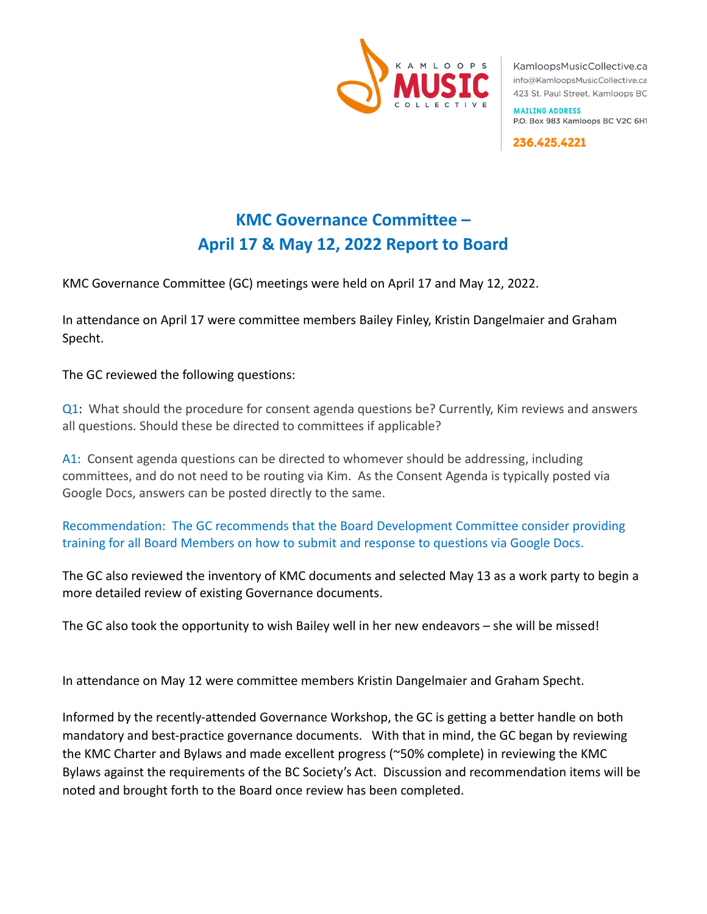

KamloopsMusicCollective.ca info@KamloopsMusicCollective.ca 423 St. Paul Street, Kamloops BC

**MAILING ADDRESS** P.O. Box 983 Kamloops BC V2C 6H1

236.425.4221

## **KMC Governance Committee – April 17 & May 12, 2022 Report to Board**

KMC Governance Committee (GC) meetings were held on April 17 and May 12, 2022.

In attendance on April 17 were committee members Bailey Finley, Kristin Dangelmaier and Graham Specht.

The GC reviewed the following questions:

Q1: What should the procedure for consent agenda questions be? Currently, Kim reviews and answers all questions. Should these be directed to committees if applicable?

A1: Consent agenda questions can be directed to whomever should be addressing, including committees, and do not need to be routing via Kim. As the Consent Agenda is typically posted via Google Docs, answers can be posted directly to the same.

Recommendation: The GC recommends that the Board Development Committee consider providing training for all Board Members on how to submit and response to questions via Google Docs.

The GC also reviewed the inventory of KMC documents and selected May 13 as a work party to begin a more detailed review of existing Governance documents.

The GC also took the opportunity to wish Bailey well in her new endeavors – she will be missed!

In attendance on May 12 were committee members Kristin Dangelmaier and Graham Specht.

Informed by the recently-attended Governance Workshop, the GC is getting a better handle on both mandatory and best-practice governance documents. With that in mind, the GC began by reviewing the KMC Charter and Bylaws and made excellent progress (~50% complete) in reviewing the KMC Bylaws against the requirements of the BC Society's Act. Discussion and recommendation items will be noted and brought forth to the Board once review has been completed.